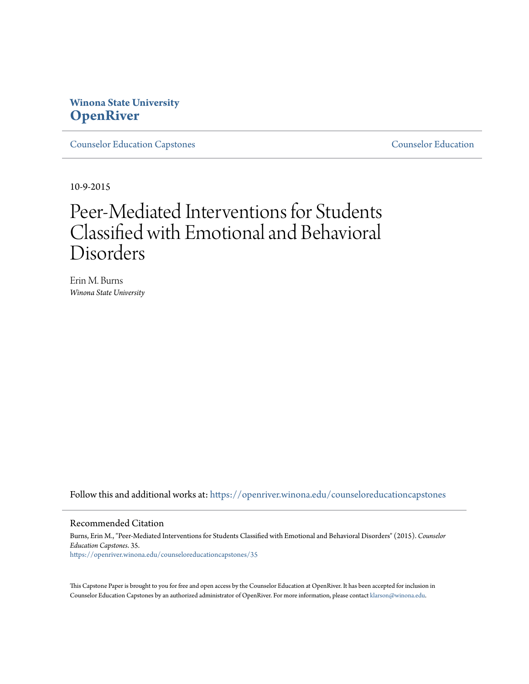## **Winona State University [OpenRiver](https://openriver.winona.edu?utm_source=openriver.winona.edu%2Fcounseloreducationcapstones%2F35&utm_medium=PDF&utm_campaign=PDFCoverPages)**

[Counselor Education Capstones](https://openriver.winona.edu/counseloreducationcapstones?utm_source=openriver.winona.edu%2Fcounseloreducationcapstones%2F35&utm_medium=PDF&utm_campaign=PDFCoverPages) [Counselor Education](https://openriver.winona.edu/counseloreducation?utm_source=openriver.winona.edu%2Fcounseloreducationcapstones%2F35&utm_medium=PDF&utm_campaign=PDFCoverPages)

10-9-2015

# Peer-Mediated Interventions for Students Classified with Emotional and Behavioral Disorders

Erin M. Burns *Winona State University*

Follow this and additional works at: [https://openriver.winona.edu/counseloreducationcapstones](https://openriver.winona.edu/counseloreducationcapstones?utm_source=openriver.winona.edu%2Fcounseloreducationcapstones%2F35&utm_medium=PDF&utm_campaign=PDFCoverPages)

#### Recommended Citation

Burns, Erin M., "Peer-Mediated Interventions for Students Classified with Emotional and Behavioral Disorders" (2015). *Counselor Education Capstones*. 35. [https://openriver.winona.edu/counseloreducationcapstones/35](https://openriver.winona.edu/counseloreducationcapstones/35?utm_source=openriver.winona.edu%2Fcounseloreducationcapstones%2F35&utm_medium=PDF&utm_campaign=PDFCoverPages)

This Capstone Paper is brought to you for free and open access by the Counselor Education at OpenRiver. It has been accepted for inclusion in Counselor Education Capstones by an authorized administrator of OpenRiver. For more information, please contact [klarson@winona.edu](mailto:klarson@winona.edu).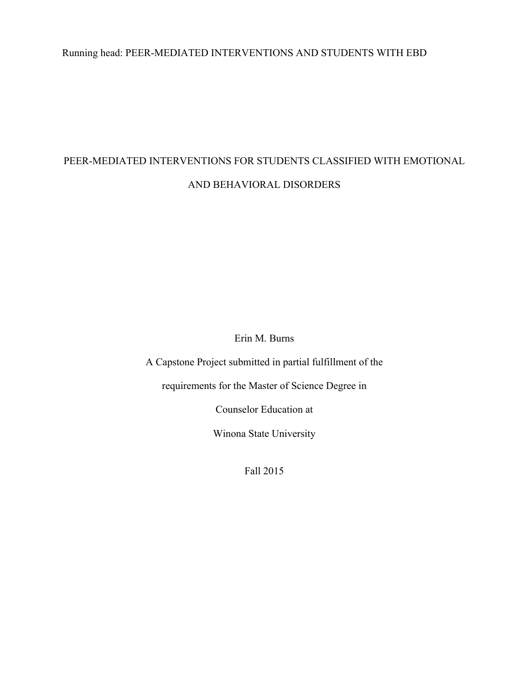## Running head: PEER-MEDIATED INTERVENTIONS AND STUDENTS WITH EBD

## PEER-MEDIATED INTERVENTIONS FOR STUDENTS CLASSIFIED WITH EMOTIONAL AND BEHAVIORAL DISORDERS

Erin M. Burns

A Capstone Project submitted in partial fulfillment of the

requirements for the Master of Science Degree in

Counselor Education at

Winona State University

Fall 2015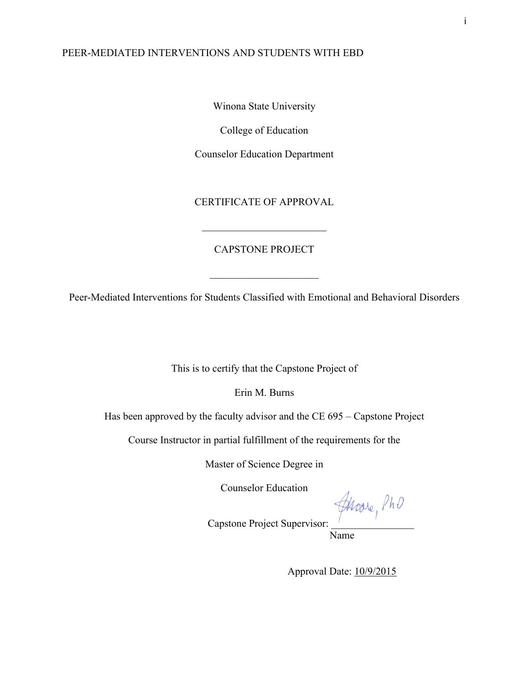Winona State University

College of Education

Counselor Education Department

CERTIFICATE OF APPROVAL

### CAPSTONE PROJECT

 $\mathcal{L}_\text{max}$  , where  $\mathcal{L}_\text{max}$  , we have the set of the set of the set of the set of the set of the set of the set of the set of the set of the set of the set of the set of the set of the set of the set of the set of

 $\mathcal{L}_\text{max}$  , where  $\mathcal{L}_\text{max}$  , we have the set of  $\mathcal{L}_\text{max}$ 

Peer-Mediated Interventions for Students Classified with Emotional and Behavioral Disorders

This is to certify that the Capstone Project of

Erin M. Burns

Has been approved by the faculty advisor and the CE 695 – Capstone Project

Course Instructor in partial fulfillment of the requirements for the

Master of Science Degree in

Counselor Education

Capstone Project Supervisor:

Name

Approval Date: 10/9/2015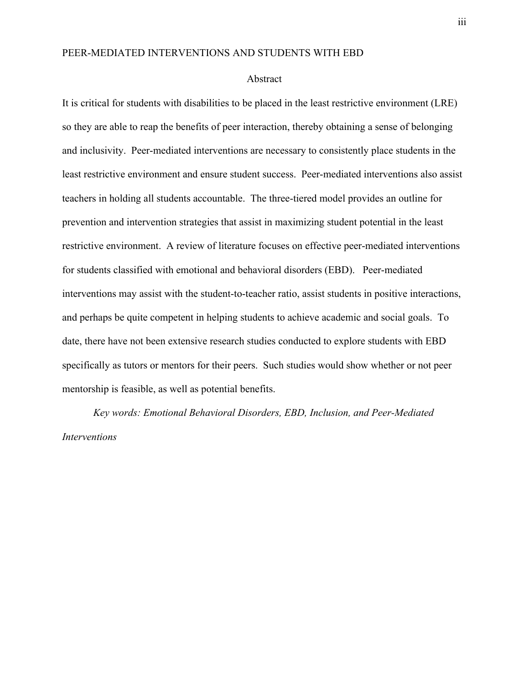#### Abstract

It is critical for students with disabilities to be placed in the least restrictive environment (LRE) so they are able to reap the benefits of peer interaction, thereby obtaining a sense of belonging and inclusivity. Peer-mediated interventions are necessary to consistently place students in the least restrictive environment and ensure student success. Peer-mediated interventions also assist teachers in holding all students accountable. The three-tiered model provides an outline for prevention and intervention strategies that assist in maximizing student potential in the least restrictive environment. A review of literature focuses on effective peer-mediated interventions for students classified with emotional and behavioral disorders (EBD). Peer-mediated interventions may assist with the student-to-teacher ratio, assist students in positive interactions, and perhaps be quite competent in helping students to achieve academic and social goals. To date, there have not been extensive research studies conducted to explore students with EBD specifically as tutors or mentors for their peers. Such studies would show whether or not peer mentorship is feasible, as well as potential benefits.

*Key words: Emotional Behavioral Disorders, EBD, Inclusion, and Peer-Mediated Interventions*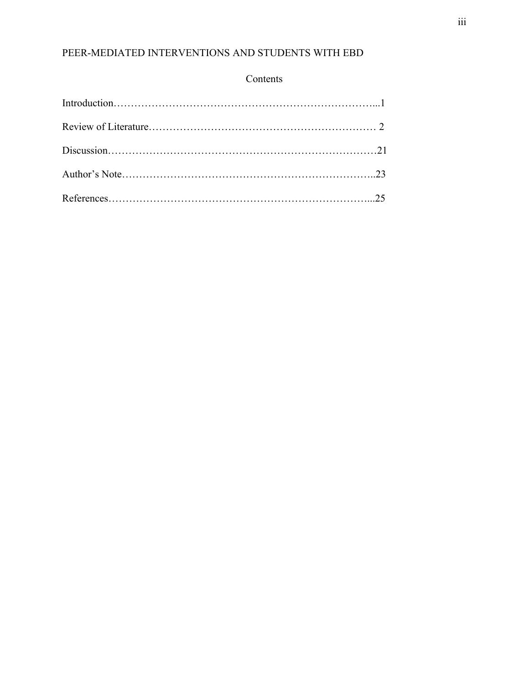## Contents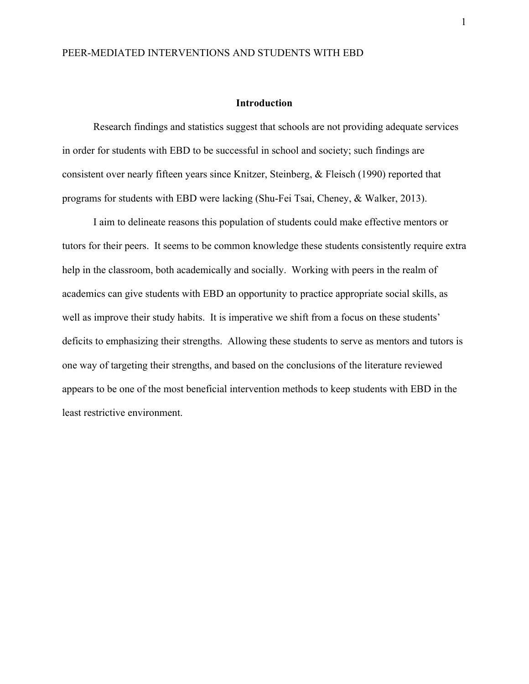#### **Introduction**

Research findings and statistics suggest that schools are not providing adequate services in order for students with EBD to be successful in school and society; such findings are consistent over nearly fifteen years since Knitzer, Steinberg, & Fleisch (1990) reported that programs for students with EBD were lacking (Shu-Fei Tsai, Cheney, & Walker, 2013).

I aim to delineate reasons this population of students could make effective mentors or tutors for their peers. It seems to be common knowledge these students consistently require extra help in the classroom, both academically and socially. Working with peers in the realm of academics can give students with EBD an opportunity to practice appropriate social skills, as well as improve their study habits. It is imperative we shift from a focus on these students' deficits to emphasizing their strengths. Allowing these students to serve as mentors and tutors is one way of targeting their strengths, and based on the conclusions of the literature reviewed appears to be one of the most beneficial intervention methods to keep students with EBD in the least restrictive environment.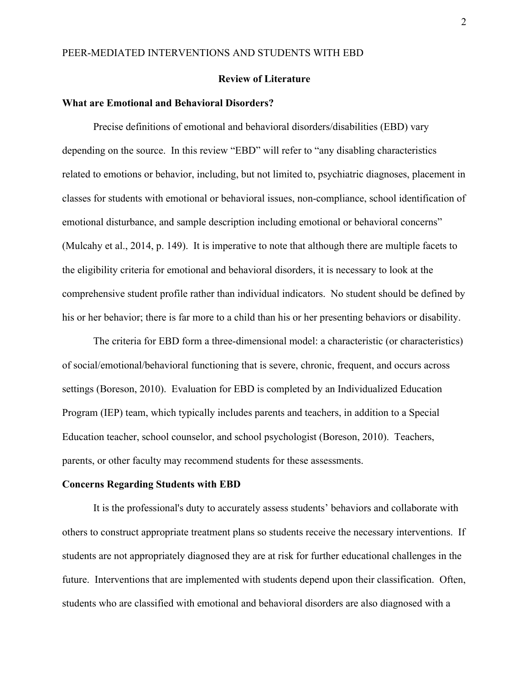#### **Review of Literature**

#### **What are Emotional and Behavioral Disorders?**

Precise definitions of emotional and behavioral disorders/disabilities (EBD) vary depending on the source. In this review "EBD" will refer to "any disabling characteristics related to emotions or behavior, including, but not limited to, psychiatric diagnoses, placement in classes for students with emotional or behavioral issues, non-compliance, school identification of emotional disturbance, and sample description including emotional or behavioral concerns" (Mulcahy et al., 2014, p. 149). It is imperative to note that although there are multiple facets to the eligibility criteria for emotional and behavioral disorders, it is necessary to look at the comprehensive student profile rather than individual indicators. No student should be defined by his or her behavior; there is far more to a child than his or her presenting behaviors or disability.

The criteria for EBD form a three-dimensional model: a characteristic (or characteristics) of social/emotional/behavioral functioning that is severe, chronic, frequent, and occurs across settings (Boreson, 2010). Evaluation for EBD is completed by an Individualized Education Program (IEP) team, which typically includes parents and teachers, in addition to a Special Education teacher, school counselor, and school psychologist (Boreson, 2010). Teachers, parents, or other faculty may recommend students for these assessments.

#### **Concerns Regarding Students with EBD**

It is the professional's duty to accurately assess students' behaviors and collaborate with others to construct appropriate treatment plans so students receive the necessary interventions. If students are not appropriately diagnosed they are at risk for further educational challenges in the future. Interventions that are implemented with students depend upon their classification. Often, students who are classified with emotional and behavioral disorders are also diagnosed with a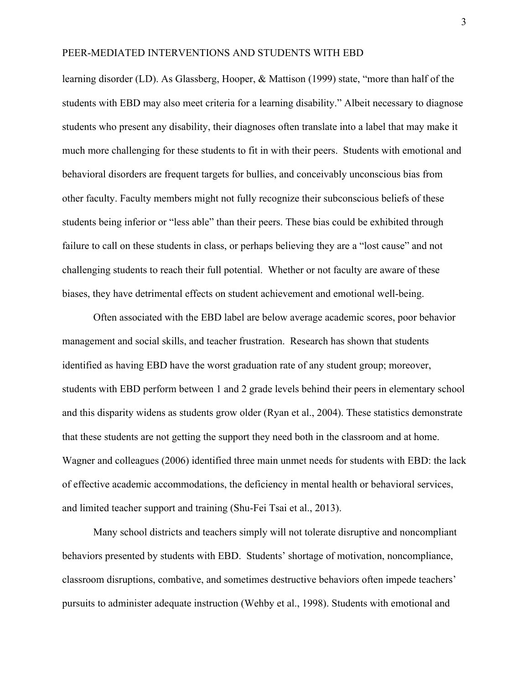learning disorder (LD). As Glassberg, Hooper, & Mattison (1999) state, "more than half of the students with EBD may also meet criteria for a learning disability." Albeit necessary to diagnose students who present any disability, their diagnoses often translate into a label that may make it much more challenging for these students to fit in with their peers. Students with emotional and behavioral disorders are frequent targets for bullies, and conceivably unconscious bias from other faculty. Faculty members might not fully recognize their subconscious beliefs of these students being inferior or "less able" than their peers. These bias could be exhibited through failure to call on these students in class, or perhaps believing they are a "lost cause" and not challenging students to reach their full potential. Whether or not faculty are aware of these biases, they have detrimental effects on student achievement and emotional well-being.

Often associated with the EBD label are below average academic scores, poor behavior management and social skills, and teacher frustration. Research has shown that students identified as having EBD have the worst graduation rate of any student group; moreover, students with EBD perform between 1 and 2 grade levels behind their peers in elementary school and this disparity widens as students grow older (Ryan et al., 2004). These statistics demonstrate that these students are not getting the support they need both in the classroom and at home. Wagner and colleagues (2006) identified three main unmet needs for students with EBD: the lack of effective academic accommodations, the deficiency in mental health or behavioral services, and limited teacher support and training (Shu-Fei Tsai et al., 2013).

Many school districts and teachers simply will not tolerate disruptive and noncompliant behaviors presented by students with EBD. Students' shortage of motivation, noncompliance, classroom disruptions, combative, and sometimes destructive behaviors often impede teachers' pursuits to administer adequate instruction (Wehby et al., 1998). Students with emotional and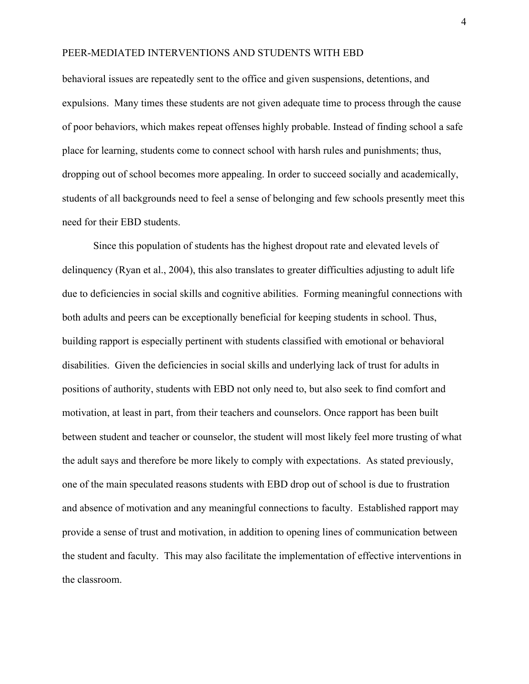behavioral issues are repeatedly sent to the office and given suspensions, detentions, and expulsions. Many times these students are not given adequate time to process through the cause of poor behaviors, which makes repeat offenses highly probable. Instead of finding school a safe place for learning, students come to connect school with harsh rules and punishments; thus, dropping out of school becomes more appealing. In order to succeed socially and academically, students of all backgrounds need to feel a sense of belonging and few schools presently meet this need for their EBD students.

Since this population of students has the highest dropout rate and elevated levels of delinquency (Ryan et al., 2004), this also translates to greater difficulties adjusting to adult life due to deficiencies in social skills and cognitive abilities. Forming meaningful connections with both adults and peers can be exceptionally beneficial for keeping students in school. Thus, building rapport is especially pertinent with students classified with emotional or behavioral disabilities. Given the deficiencies in social skills and underlying lack of trust for adults in positions of authority, students with EBD not only need to, but also seek to find comfort and motivation, at least in part, from their teachers and counselors. Once rapport has been built between student and teacher or counselor, the student will most likely feel more trusting of what the adult says and therefore be more likely to comply with expectations. As stated previously, one of the main speculated reasons students with EBD drop out of school is due to frustration and absence of motivation and any meaningful connections to faculty. Established rapport may provide a sense of trust and motivation, in addition to opening lines of communication between the student and faculty. This may also facilitate the implementation of effective interventions in the classroom.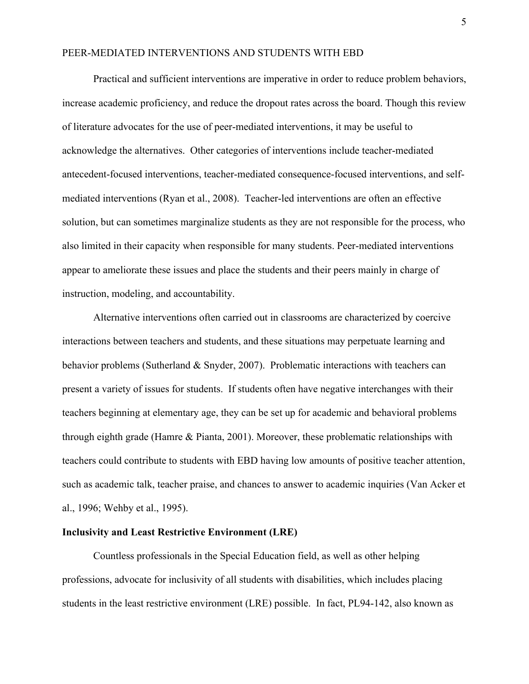Practical and sufficient interventions are imperative in order to reduce problem behaviors, increase academic proficiency, and reduce the dropout rates across the board. Though this review of literature advocates for the use of peer-mediated interventions, it may be useful to acknowledge the alternatives. Other categories of interventions include teacher-mediated antecedent-focused interventions, teacher-mediated consequence-focused interventions, and selfmediated interventions (Ryan et al., 2008). Teacher-led interventions are often an effective solution, but can sometimes marginalize students as they are not responsible for the process, who also limited in their capacity when responsible for many students. Peer-mediated interventions appear to ameliorate these issues and place the students and their peers mainly in charge of instruction, modeling, and accountability.

Alternative interventions often carried out in classrooms are characterized by coercive interactions between teachers and students, and these situations may perpetuate learning and behavior problems (Sutherland & Snyder, 2007). Problematic interactions with teachers can present a variety of issues for students. If students often have negative interchanges with their teachers beginning at elementary age, they can be set up for academic and behavioral problems through eighth grade (Hamre & Pianta, 2001). Moreover, these problematic relationships with teachers could contribute to students with EBD having low amounts of positive teacher attention, such as academic talk, teacher praise, and chances to answer to academic inquiries (Van Acker et al., 1996; Wehby et al., 1995).

#### **Inclusivity and Least Restrictive Environment (LRE)**

Countless professionals in the Special Education field, as well as other helping professions, advocate for inclusivity of all students with disabilities, which includes placing students in the least restrictive environment (LRE) possible. In fact, PL94-142, also known as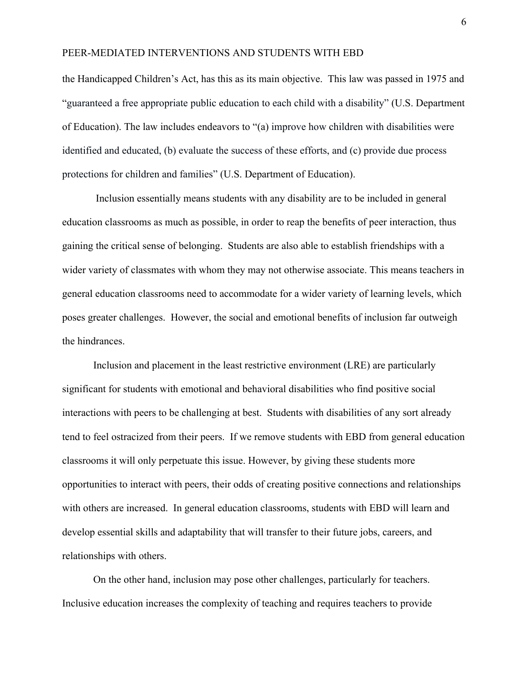the Handicapped Children's Act, has this as its main objective. This law was passed in 1975 and "guaranteed a free appropriate public education to each child with a disability" (U.S. Department of Education). The law includes endeavors to "(a) improve how children with disabilities were identified and educated, (b) evaluate the success of these efforts, and (c) provide due process protections for children and families" (U.S. Department of Education).

Inclusion essentially means students with any disability are to be included in general education classrooms as much as possible, in order to reap the benefits of peer interaction, thus gaining the critical sense of belonging. Students are also able to establish friendships with a wider variety of classmates with whom they may not otherwise associate. This means teachers in general education classrooms need to accommodate for a wider variety of learning levels, which poses greater challenges. However, the social and emotional benefits of inclusion far outweigh the hindrances.

Inclusion and placement in the least restrictive environment (LRE) are particularly significant for students with emotional and behavioral disabilities who find positive social interactions with peers to be challenging at best. Students with disabilities of any sort already tend to feel ostracized from their peers. If we remove students with EBD from general education classrooms it will only perpetuate this issue. However, by giving these students more opportunities to interact with peers, their odds of creating positive connections and relationships with others are increased. In general education classrooms, students with EBD will learn and develop essential skills and adaptability that will transfer to their future jobs, careers, and relationships with others.

On the other hand, inclusion may pose other challenges, particularly for teachers. Inclusive education increases the complexity of teaching and requires teachers to provide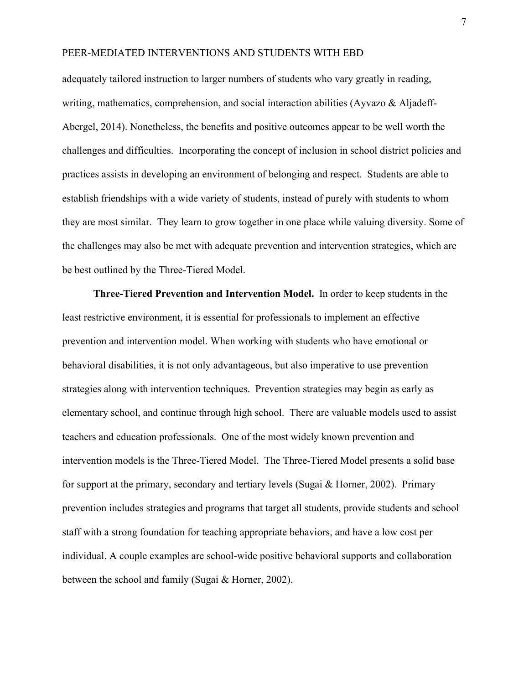adequately tailored instruction to larger numbers of students who vary greatly in reading, writing, mathematics, comprehension, and social interaction abilities (Ayvazo  $\&$  Aljadeff-Abergel, 2014). Nonetheless, the benefits and positive outcomes appear to be well worth the challenges and difficulties. Incorporating the concept of inclusion in school district policies and practices assists in developing an environment of belonging and respect. Students are able to establish friendships with a wide variety of students, instead of purely with students to whom they are most similar. They learn to grow together in one place while valuing diversity. Some of the challenges may also be met with adequate prevention and intervention strategies, which are be best outlined by the Three-Tiered Model.

**Three-Tiered Prevention and Intervention Model.** In order to keep students in the least restrictive environment, it is essential for professionals to implement an effective prevention and intervention model. When working with students who have emotional or behavioral disabilities, it is not only advantageous, but also imperative to use prevention strategies along with intervention techniques. Prevention strategies may begin as early as elementary school, and continue through high school. There are valuable models used to assist teachers and education professionals. One of the most widely known prevention and intervention models is the Three-Tiered Model. The Three-Tiered Model presents a solid base for support at the primary, secondary and tertiary levels (Sugai & Horner, 2002). Primary prevention includes strategies and programs that target all students, provide students and school staff with a strong foundation for teaching appropriate behaviors, and have a low cost per individual. A couple examples are school-wide positive behavioral supports and collaboration between the school and family (Sugai & Horner, 2002).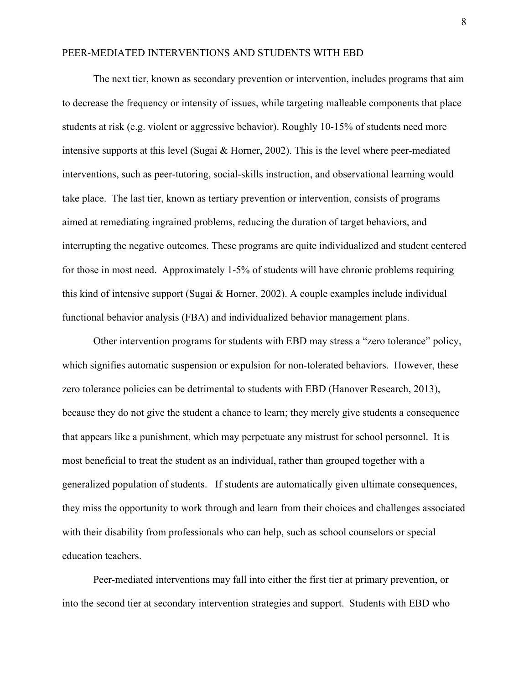The next tier, known as secondary prevention or intervention, includes programs that aim to decrease the frequency or intensity of issues, while targeting malleable components that place students at risk (e.g. violent or aggressive behavior). Roughly 10-15% of students need more intensive supports at this level (Sugai & Horner, 2002). This is the level where peer-mediated interventions, such as peer-tutoring, social-skills instruction, and observational learning would take place. The last tier, known as tertiary prevention or intervention, consists of programs aimed at remediating ingrained problems, reducing the duration of target behaviors, and interrupting the negative outcomes. These programs are quite individualized and student centered for those in most need. Approximately 1-5% of students will have chronic problems requiring this kind of intensive support (Sugai & Horner, 2002). A couple examples include individual functional behavior analysis (FBA) and individualized behavior management plans.

Other intervention programs for students with EBD may stress a "zero tolerance" policy, which signifies automatic suspension or expulsion for non-tolerated behaviors. However, these zero tolerance policies can be detrimental to students with EBD (Hanover Research, 2013), because they do not give the student a chance to learn; they merely give students a consequence that appears like a punishment, which may perpetuate any mistrust for school personnel. It is most beneficial to treat the student as an individual, rather than grouped together with a generalized population of students. If students are automatically given ultimate consequences, they miss the opportunity to work through and learn from their choices and challenges associated with their disability from professionals who can help, such as school counselors or special education teachers.

Peer-mediated interventions may fall into either the first tier at primary prevention, or into the second tier at secondary intervention strategies and support. Students with EBD who

8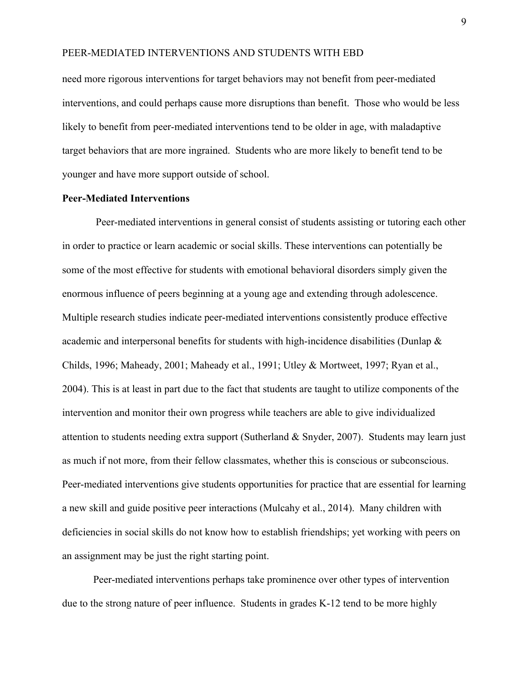need more rigorous interventions for target behaviors may not benefit from peer-mediated interventions, and could perhaps cause more disruptions than benefit. Those who would be less likely to benefit from peer-mediated interventions tend to be older in age, with maladaptive target behaviors that are more ingrained. Students who are more likely to benefit tend to be younger and have more support outside of school.

#### **Peer-Mediated Interventions**

Peer-mediated interventions in general consist of students assisting or tutoring each other in order to practice or learn academic or social skills. These interventions can potentially be some of the most effective for students with emotional behavioral disorders simply given the enormous influence of peers beginning at a young age and extending through adolescence. Multiple research studies indicate peer-mediated interventions consistently produce effective academic and interpersonal benefits for students with high-incidence disabilities (Dunlap & Childs, 1996; Maheady, 2001; Maheady et al., 1991; Utley & Mortweet, 1997; Ryan et al., 2004). This is at least in part due to the fact that students are taught to utilize components of the intervention and monitor their own progress while teachers are able to give individualized attention to students needing extra support (Sutherland & Snyder, 2007). Students may learn just as much if not more, from their fellow classmates, whether this is conscious or subconscious. Peer-mediated interventions give students opportunities for practice that are essential for learning a new skill and guide positive peer interactions (Mulcahy et al., 2014). Many children with deficiencies in social skills do not know how to establish friendships; yet working with peers on an assignment may be just the right starting point.

Peer-mediated interventions perhaps take prominence over other types of intervention due to the strong nature of peer influence. Students in grades K-12 tend to be more highly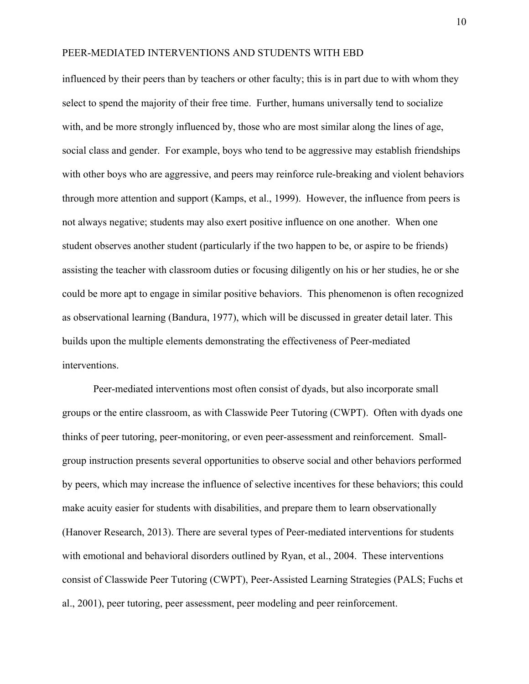influenced by their peers than by teachers or other faculty; this is in part due to with whom they select to spend the majority of their free time. Further, humans universally tend to socialize with, and be more strongly influenced by, those who are most similar along the lines of age, social class and gender. For example, boys who tend to be aggressive may establish friendships with other boys who are aggressive, and peers may reinforce rule-breaking and violent behaviors through more attention and support (Kamps, et al., 1999). However, the influence from peers is not always negative; students may also exert positive influence on one another. When one student observes another student (particularly if the two happen to be, or aspire to be friends) assisting the teacher with classroom duties or focusing diligently on his or her studies, he or she could be more apt to engage in similar positive behaviors. This phenomenon is often recognized as observational learning (Bandura, 1977), which will be discussed in greater detail later. This builds upon the multiple elements demonstrating the effectiveness of Peer-mediated interventions.

Peer-mediated interventions most often consist of dyads, but also incorporate small groups or the entire classroom, as with Classwide Peer Tutoring (CWPT). Often with dyads one thinks of peer tutoring, peer-monitoring, or even peer-assessment and reinforcement. Smallgroup instruction presents several opportunities to observe social and other behaviors performed by peers, which may increase the influence of selective incentives for these behaviors; this could make acuity easier for students with disabilities, and prepare them to learn observationally (Hanover Research, 2013). There are several types of Peer-mediated interventions for students with emotional and behavioral disorders outlined by Ryan, et al., 2004. These interventions consist of Classwide Peer Tutoring (CWPT), Peer-Assisted Learning Strategies (PALS; Fuchs et al., 2001), peer tutoring, peer assessment, peer modeling and peer reinforcement.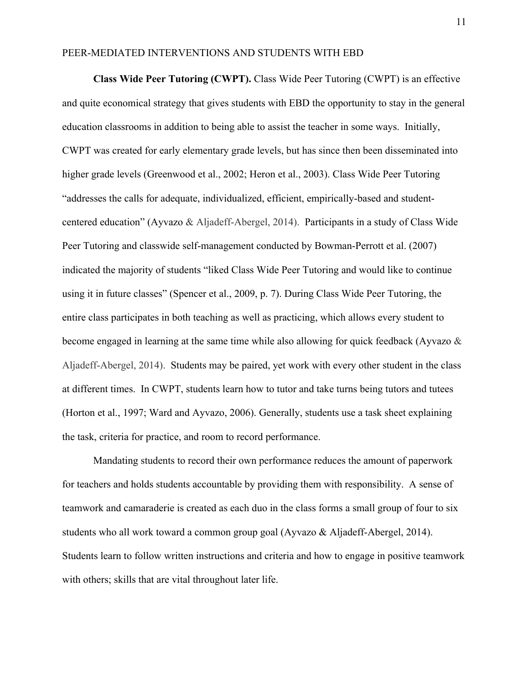**Class Wide Peer Tutoring (CWPT).** Class Wide Peer Tutoring (CWPT) is an effective and quite economical strategy that gives students with EBD the opportunity to stay in the general education classrooms in addition to being able to assist the teacher in some ways. Initially, CWPT was created for early elementary grade levels, but has since then been disseminated into higher grade levels (Greenwood et al., 2002; Heron et al., 2003). Class Wide Peer Tutoring "addresses the calls for adequate, individualized, efficient, empirically-based and studentcentered education" (Ayvazo & Aljadeff-Abergel, 2014). Participants in a study of Class Wide Peer Tutoring and classwide self-management conducted by Bowman-Perrott et al. (2007) indicated the majority of students "liked Class Wide Peer Tutoring and would like to continue using it in future classes" (Spencer et al., 2009, p. 7). During Class Wide Peer Tutoring, the entire class participates in both teaching as well as practicing, which allows every student to become engaged in learning at the same time while also allowing for quick feedback (Ayvazo & Aljadeff-Abergel, 2014). Students may be paired, yet work with every other student in the class at different times. In CWPT, students learn how to tutor and take turns being tutors and tutees (Horton et al., 1997; Ward and Ayvazo, 2006). Generally, students use a task sheet explaining the task, criteria for practice, and room to record performance.

Mandating students to record their own performance reduces the amount of paperwork for teachers and holds students accountable by providing them with responsibility. A sense of teamwork and camaraderie is created as each duo in the class forms a small group of four to six students who all work toward a common group goal (Ayvazo & Aljadeff-Abergel, 2014). Students learn to follow written instructions and criteria and how to engage in positive teamwork with others; skills that are vital throughout later life.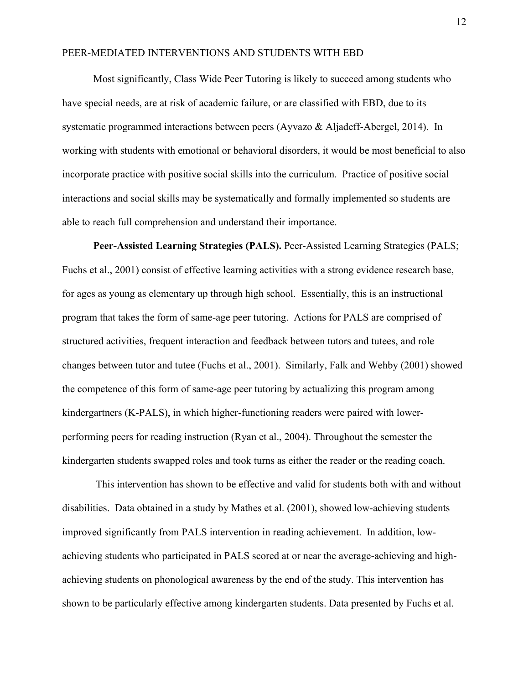Most significantly, Class Wide Peer Tutoring is likely to succeed among students who have special needs, are at risk of academic failure, or are classified with EBD, due to its systematic programmed interactions between peers (Ayvazo & Aljadeff-Abergel, 2014). In working with students with emotional or behavioral disorders, it would be most beneficial to also incorporate practice with positive social skills into the curriculum. Practice of positive social interactions and social skills may be systematically and formally implemented so students are able to reach full comprehension and understand their importance.

**Peer-Assisted Learning Strategies (PALS).** Peer-Assisted Learning Strategies (PALS; Fuchs et al., 2001) consist of effective learning activities with a strong evidence research base, for ages as young as elementary up through high school. Essentially, this is an instructional program that takes the form of same-age peer tutoring. Actions for PALS are comprised of structured activities, frequent interaction and feedback between tutors and tutees, and role changes between tutor and tutee (Fuchs et al., 2001). Similarly, Falk and Wehby (2001) showed the competence of this form of same-age peer tutoring by actualizing this program among kindergartners (K-PALS), in which higher-functioning readers were paired with lowerperforming peers for reading instruction (Ryan et al., 2004). Throughout the semester the kindergarten students swapped roles and took turns as either the reader or the reading coach.

This intervention has shown to be effective and valid for students both with and without disabilities. Data obtained in a study by Mathes et al. (2001), showed low-achieving students improved significantly from PALS intervention in reading achievement. In addition, lowachieving students who participated in PALS scored at or near the average-achieving and highachieving students on phonological awareness by the end of the study. This intervention has shown to be particularly effective among kindergarten students. Data presented by Fuchs et al.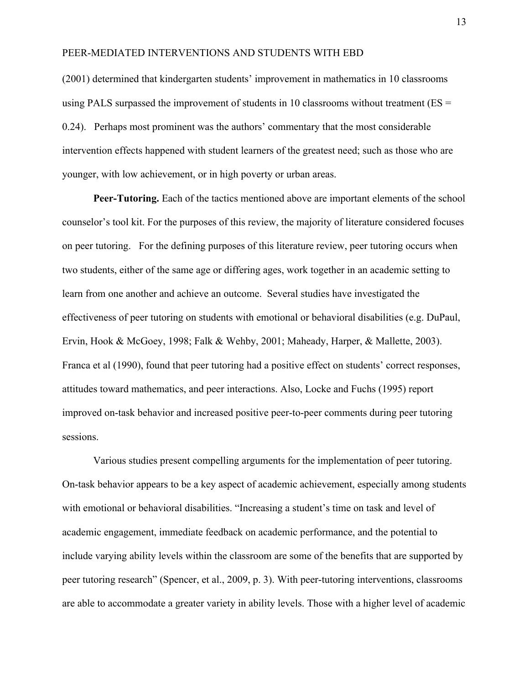(2001) determined that kindergarten students' improvement in mathematics in 10 classrooms using PALS surpassed the improvement of students in 10 classrooms without treatment ( $ES =$ 0.24). Perhaps most prominent was the authors' commentary that the most considerable intervention effects happened with student learners of the greatest need; such as those who are younger, with low achievement, or in high poverty or urban areas.

**Peer-Tutoring.** Each of the tactics mentioned above are important elements of the school counselor's tool kit. For the purposes of this review, the majority of literature considered focuses on peer tutoring. For the defining purposes of this literature review, peer tutoring occurs when two students, either of the same age or differing ages, work together in an academic setting to learn from one another and achieve an outcome. Several studies have investigated the effectiveness of peer tutoring on students with emotional or behavioral disabilities (e.g. DuPaul, Ervin, Hook & McGoey, 1998; Falk & Wehby, 2001; Maheady, Harper, & Mallette, 2003). Franca et al (1990), found that peer tutoring had a positive effect on students' correct responses, attitudes toward mathematics, and peer interactions. Also, Locke and Fuchs (1995) report improved on-task behavior and increased positive peer-to-peer comments during peer tutoring sessions.

Various studies present compelling arguments for the implementation of peer tutoring. On-task behavior appears to be a key aspect of academic achievement, especially among students with emotional or behavioral disabilities. "Increasing a student's time on task and level of academic engagement, immediate feedback on academic performance, and the potential to include varying ability levels within the classroom are some of the benefits that are supported by peer tutoring research" (Spencer, et al., 2009, p. 3). With peer-tutoring interventions, classrooms are able to accommodate a greater variety in ability levels. Those with a higher level of academic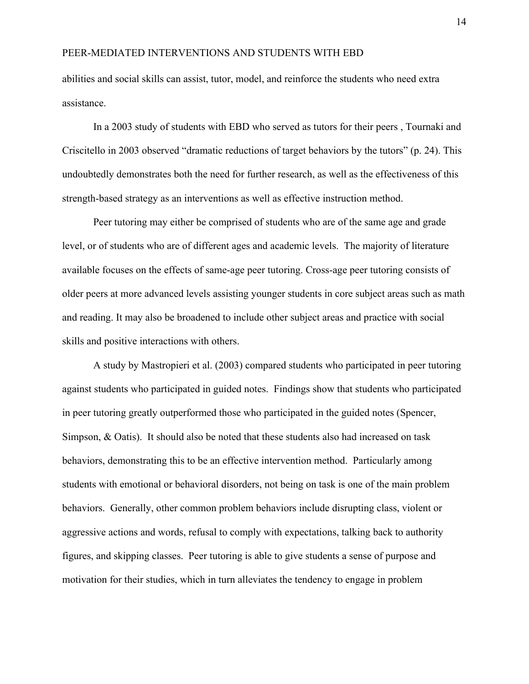abilities and social skills can assist, tutor, model, and reinforce the students who need extra assistance.

In a 2003 study of students with EBD who served as tutors for their peers , Tournaki and Criscitello in 2003 observed "dramatic reductions of target behaviors by the tutors" (p. 24). This undoubtedly demonstrates both the need for further research, as well as the effectiveness of this strength-based strategy as an interventions as well as effective instruction method.

Peer tutoring may either be comprised of students who are of the same age and grade level, or of students who are of different ages and academic levels. The majority of literature available focuses on the effects of same-age peer tutoring. Cross-age peer tutoring consists of older peers at more advanced levels assisting younger students in core subject areas such as math and reading. It may also be broadened to include other subject areas and practice with social skills and positive interactions with others.

A study by Mastropieri et al. (2003) compared students who participated in peer tutoring against students who participated in guided notes. Findings show that students who participated in peer tutoring greatly outperformed those who participated in the guided notes (Spencer, Simpson, & Oatis). It should also be noted that these students also had increased on task behaviors, demonstrating this to be an effective intervention method. Particularly among students with emotional or behavioral disorders, not being on task is one of the main problem behaviors. Generally, other common problem behaviors include disrupting class, violent or aggressive actions and words, refusal to comply with expectations, talking back to authority figures, and skipping classes. Peer tutoring is able to give students a sense of purpose and motivation for their studies, which in turn alleviates the tendency to engage in problem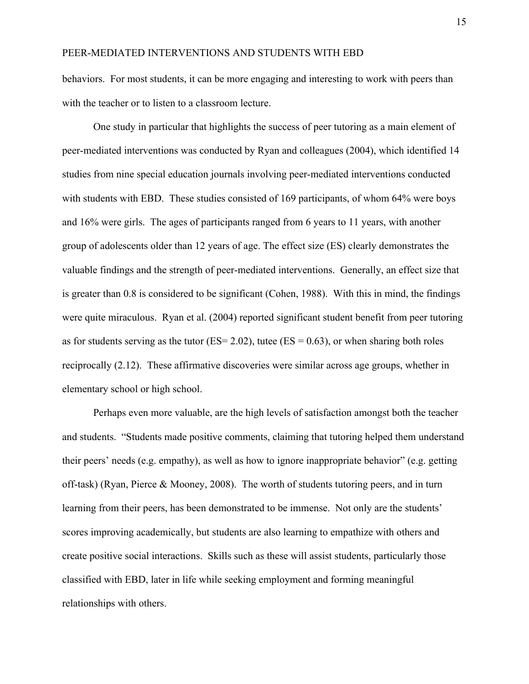behaviors. For most students, it can be more engaging and interesting to work with peers than with the teacher or to listen to a classroom lecture.

One study in particular that highlights the success of peer tutoring as a main element of peer-mediated interventions was conducted by Ryan and colleagues (2004), which identified 14 studies from nine special education journals involving peer-mediated interventions conducted with students with EBD. These studies consisted of 169 participants, of whom 64% were boys and 16% were girls. The ages of participants ranged from 6 years to 11 years, with another group of adolescents older than 12 years of age. The effect size (ES) clearly demonstrates the valuable findings and the strength of peer-mediated interventions. Generally, an effect size that is greater than 0.8 is considered to be significant (Cohen, 1988). With this in mind, the findings were quite miraculous. Ryan et al. (2004) reported significant student benefit from peer tutoring as for students serving as the tutor ( $ES = 2.02$ ), tutee ( $ES = 0.63$ ), or when sharing both roles reciprocally (2.12). These affirmative discoveries were similar across age groups, whether in elementary school or high school.

Perhaps even more valuable, are the high levels of satisfaction amongst both the teacher and students. "Students made positive comments, claiming that tutoring helped them understand their peers' needs (e.g. empathy), as well as how to ignore inappropriate behavior" (e.g. getting off-task) (Ryan, Pierce & Mooney, 2008). The worth of students tutoring peers, and in turn learning from their peers, has been demonstrated to be immense. Not only are the students' scores improving academically, but students are also learning to empathize with others and create positive social interactions. Skills such as these will assist students, particularly those classified with EBD, later in life while seeking employment and forming meaningful relationships with others.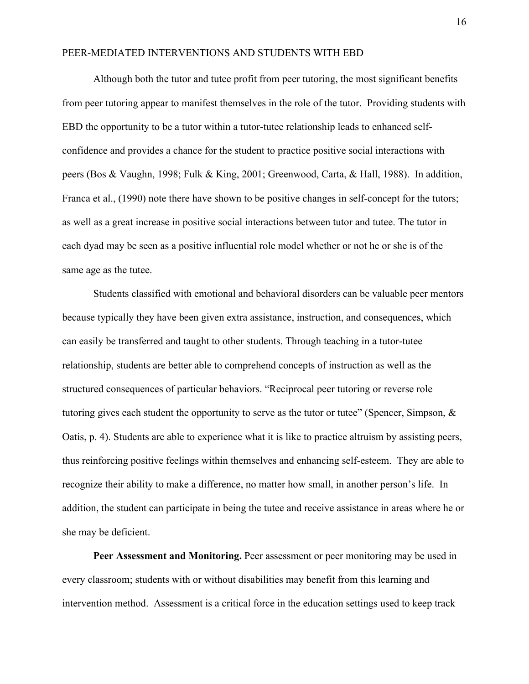Although both the tutor and tutee profit from peer tutoring, the most significant benefits from peer tutoring appear to manifest themselves in the role of the tutor. Providing students with EBD the opportunity to be a tutor within a tutor-tutee relationship leads to enhanced selfconfidence and provides a chance for the student to practice positive social interactions with peers (Bos & Vaughn, 1998; Fulk & King, 2001; Greenwood, Carta, & Hall, 1988). In addition, Franca et al., (1990) note there have shown to be positive changes in self-concept for the tutors; as well as a great increase in positive social interactions between tutor and tutee. The tutor in each dyad may be seen as a positive influential role model whether or not he or she is of the same age as the tutee.

Students classified with emotional and behavioral disorders can be valuable peer mentors because typically they have been given extra assistance, instruction, and consequences, which can easily be transferred and taught to other students. Through teaching in a tutor-tutee relationship, students are better able to comprehend concepts of instruction as well as the structured consequences of particular behaviors. "Reciprocal peer tutoring or reverse role tutoring gives each student the opportunity to serve as the tutor or tutee" (Spencer, Simpson, & Oatis, p. 4). Students are able to experience what it is like to practice altruism by assisting peers, thus reinforcing positive feelings within themselves and enhancing self-esteem. They are able to recognize their ability to make a difference, no matter how small, in another person's life. In addition, the student can participate in being the tutee and receive assistance in areas where he or she may be deficient.

**Peer Assessment and Monitoring.** Peer assessment or peer monitoring may be used in every classroom; students with or without disabilities may benefit from this learning and intervention method. Assessment is a critical force in the education settings used to keep track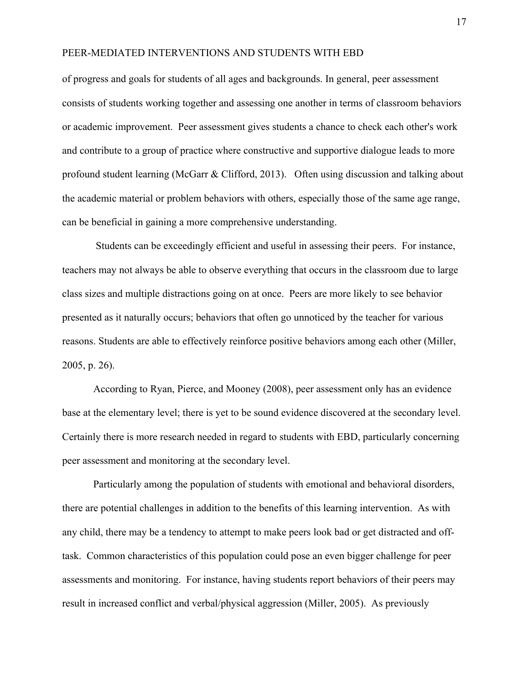of progress and goals for students of all ages and backgrounds. In general, peer assessment consists of students working together and assessing one another in terms of classroom behaviors or academic improvement. Peer assessment gives students a chance to check each other's work and contribute to a group of practice where constructive and supportive dialogue leads to more profound student learning (McGarr & Clifford, 2013). Often using discussion and talking about the academic material or problem behaviors with others, especially those of the same age range, can be beneficial in gaining a more comprehensive understanding.

Students can be exceedingly efficient and useful in assessing their peers. For instance, teachers may not always be able to observe everything that occurs in the classroom due to large class sizes and multiple distractions going on at once. Peers are more likely to see behavior presented as it naturally occurs; behaviors that often go unnoticed by the teacher for various reasons. Students are able to effectively reinforce positive behaviors among each other (Miller, 2005, p. 26).

According to Ryan, Pierce, and Mooney (2008), peer assessment only has an evidence base at the elementary level; there is yet to be sound evidence discovered at the secondary level. Certainly there is more research needed in regard to students with EBD, particularly concerning peer assessment and monitoring at the secondary level.

Particularly among the population of students with emotional and behavioral disorders, there are potential challenges in addition to the benefits of this learning intervention. As with any child, there may be a tendency to attempt to make peers look bad or get distracted and offtask. Common characteristics of this population could pose an even bigger challenge for peer assessments and monitoring. For instance, having students report behaviors of their peers may result in increased conflict and verbal/physical aggression (Miller, 2005). As previously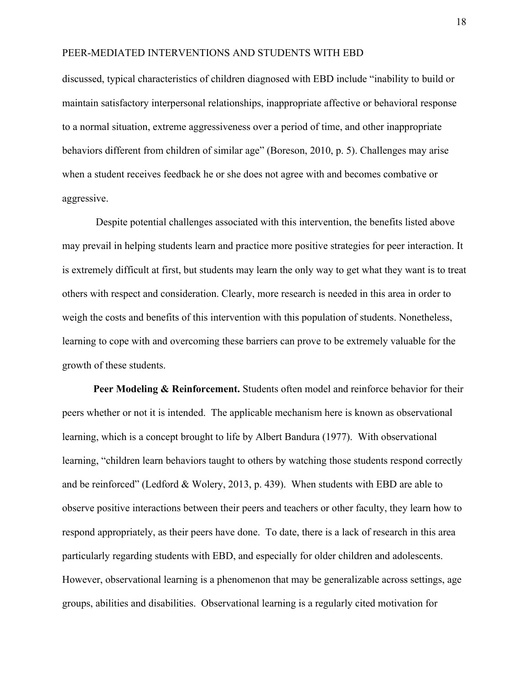discussed, typical characteristics of children diagnosed with EBD include "inability to build or maintain satisfactory interpersonal relationships, inappropriate affective or behavioral response to a normal situation, extreme aggressiveness over a period of time, and other inappropriate behaviors different from children of similar age" (Boreson, 2010, p. 5). Challenges may arise when a student receives feedback he or she does not agree with and becomes combative or aggressive.

Despite potential challenges associated with this intervention, the benefits listed above may prevail in helping students learn and practice more positive strategies for peer interaction. It is extremely difficult at first, but students may learn the only way to get what they want is to treat others with respect and consideration. Clearly, more research is needed in this area in order to weigh the costs and benefits of this intervention with this population of students. Nonetheless, learning to cope with and overcoming these barriers can prove to be extremely valuable for the growth of these students.

**Peer Modeling & Reinforcement.** Students often model and reinforce behavior for their peers whether or not it is intended. The applicable mechanism here is known as observational learning, which is a concept brought to life by Albert Bandura (1977). With observational learning, "children learn behaviors taught to others by watching those students respond correctly and be reinforced" (Ledford & Wolery, 2013, p. 439). When students with EBD are able to observe positive interactions between their peers and teachers or other faculty, they learn how to respond appropriately, as their peers have done. To date, there is a lack of research in this area particularly regarding students with EBD, and especially for older children and adolescents. However, observational learning is a phenomenon that may be generalizable across settings, age groups, abilities and disabilities. Observational learning is a regularly cited motivation for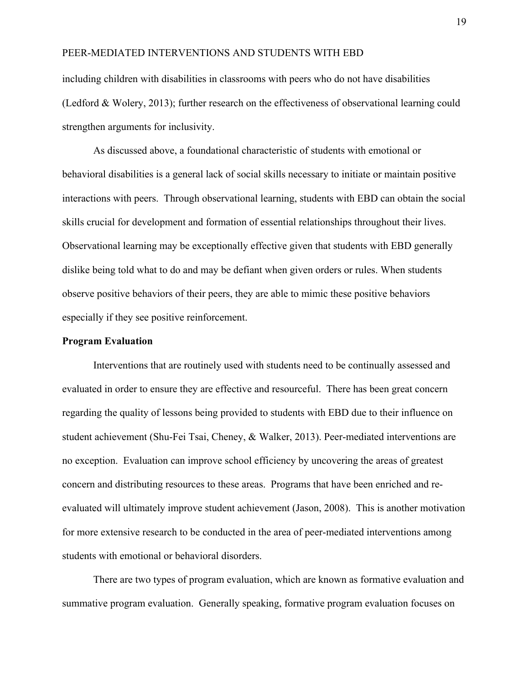including children with disabilities in classrooms with peers who do not have disabilities (Ledford & Wolery, 2013); further research on the effectiveness of observational learning could strengthen arguments for inclusivity.

As discussed above, a foundational characteristic of students with emotional or behavioral disabilities is a general lack of social skills necessary to initiate or maintain positive interactions with peers. Through observational learning, students with EBD can obtain the social skills crucial for development and formation of essential relationships throughout their lives. Observational learning may be exceptionally effective given that students with EBD generally dislike being told what to do and may be defiant when given orders or rules. When students observe positive behaviors of their peers, they are able to mimic these positive behaviors especially if they see positive reinforcement.

#### **Program Evaluation**

Interventions that are routinely used with students need to be continually assessed and evaluated in order to ensure they are effective and resourceful. There has been great concern regarding the quality of lessons being provided to students with EBD due to their influence on student achievement (Shu-Fei Tsai, Cheney, & Walker, 2013). Peer-mediated interventions are no exception. Evaluation can improve school efficiency by uncovering the areas of greatest concern and distributing resources to these areas. Programs that have been enriched and reevaluated will ultimately improve student achievement (Jason, 2008). This is another motivation for more extensive research to be conducted in the area of peer-mediated interventions among students with emotional or behavioral disorders.

There are two types of program evaluation, which are known as formative evaluation and summative program evaluation. Generally speaking, formative program evaluation focuses on

19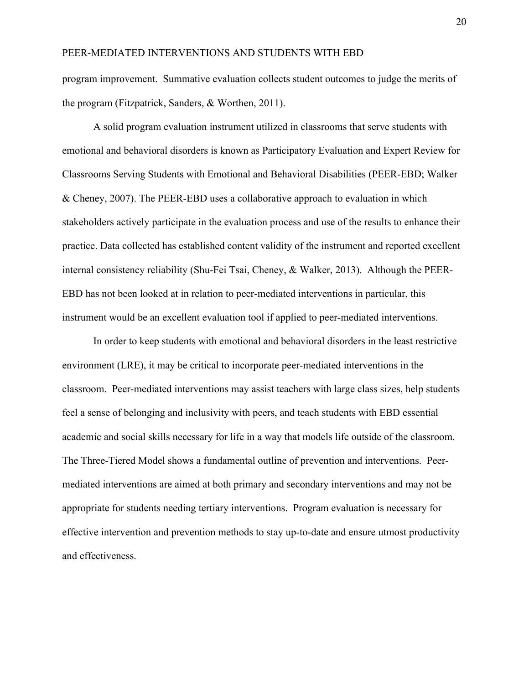program improvement. Summative evaluation collects student outcomes to judge the merits of the program (Fitzpatrick, Sanders, & Worthen, 2011).

A solid program evaluation instrument utilized in classrooms that serve students with emotional and behavioral disorders is known as Participatory Evaluation and Expert Review for Classrooms Serving Students with Emotional and Behavioral Disabilities (PEER-EBD; Walker & Cheney, 2007). The PEER-EBD uses a collaborative approach to evaluation in which stakeholders actively participate in the evaluation process and use of the results to enhance their practice. Data collected has established content validity of the instrument and reported excellent internal consistency reliability (Shu-Fei Tsai, Cheney, & Walker, 2013). Although the PEER-EBD has not been looked at in relation to peer-mediated interventions in particular, this instrument would be an excellent evaluation tool if applied to peer-mediated interventions.

In order to keep students with emotional and behavioral disorders in the least restrictive environment (LRE), it may be critical to incorporate peer-mediated interventions in the classroom. Peer-mediated interventions may assist teachers with large class sizes, help students feel a sense of belonging and inclusivity with peers, and teach students with EBD essential academic and social skills necessary for life in a way that models life outside of the classroom. The Three-Tiered Model shows a fundamental outline of prevention and interventions. Peermediated interventions are aimed at both primary and secondary interventions and may not be appropriate for students needing tertiary interventions. Program evaluation is necessary for effective intervention and prevention methods to stay up-to-date and ensure utmost productivity and effectiveness.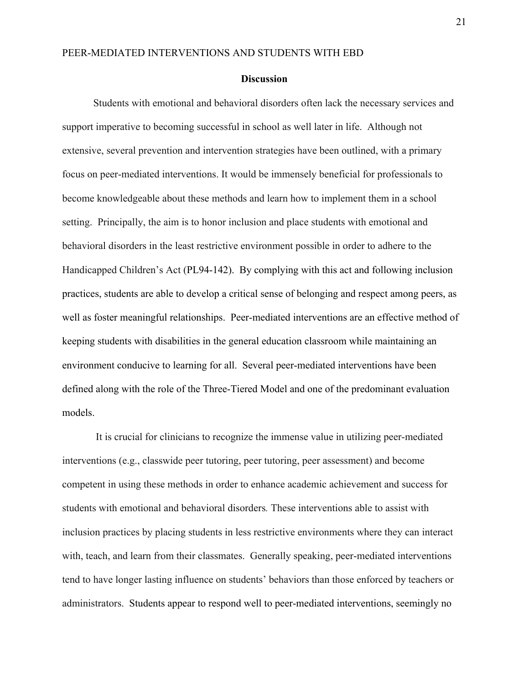#### **Discussion**

Students with emotional and behavioral disorders often lack the necessary services and support imperative to becoming successful in school as well later in life. Although not extensive, several prevention and intervention strategies have been outlined, with a primary focus on peer-mediated interventions. It would be immensely beneficial for professionals to become knowledgeable about these methods and learn how to implement them in a school setting. Principally, the aim is to honor inclusion and place students with emotional and behavioral disorders in the least restrictive environment possible in order to adhere to the Handicapped Children's Act (PL94-142). By complying with this act and following inclusion practices, students are able to develop a critical sense of belonging and respect among peers, as well as foster meaningful relationships. Peer-mediated interventions are an effective method of keeping students with disabilities in the general education classroom while maintaining an environment conducive to learning for all. Several peer-mediated interventions have been defined along with the role of the Three-Tiered Model and one of the predominant evaluation models.

It is crucial for clinicians to recognize the immense value in utilizing peer-mediated interventions (e.g., classwide peer tutoring, peer tutoring, peer assessment) and become competent in using these methods in order to enhance academic achievement and success for students with emotional and behavioral disorders*.* These interventions able to assist with inclusion practices by placing students in less restrictive environments where they can interact with, teach, and learn from their classmates. Generally speaking, peer-mediated interventions tend to have longer lasting influence on students' behaviors than those enforced by teachers or administrators. Students appear to respond well to peer-mediated interventions, seemingly no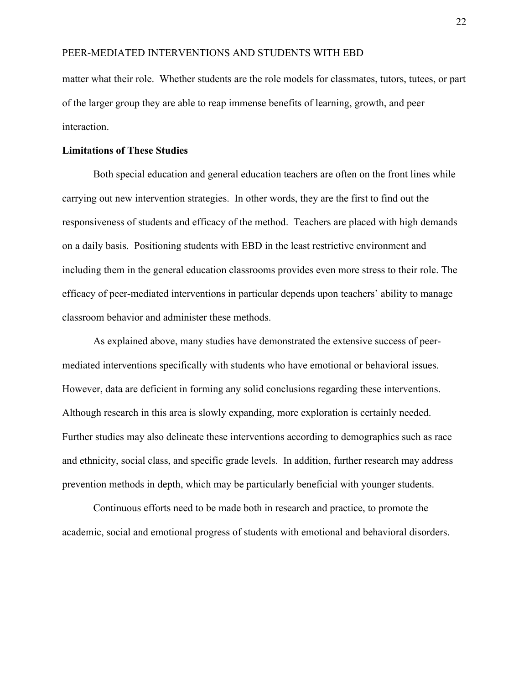matter what their role. Whether students are the role models for classmates, tutors, tutees, or part of the larger group they are able to reap immense benefits of learning, growth, and peer interaction.

#### **Limitations of These Studies**

Both special education and general education teachers are often on the front lines while carrying out new intervention strategies. In other words, they are the first to find out the responsiveness of students and efficacy of the method. Teachers are placed with high demands on a daily basis. Positioning students with EBD in the least restrictive environment and including them in the general education classrooms provides even more stress to their role. The efficacy of peer-mediated interventions in particular depends upon teachers' ability to manage classroom behavior and administer these methods.

As explained above, many studies have demonstrated the extensive success of peermediated interventions specifically with students who have emotional or behavioral issues. However, data are deficient in forming any solid conclusions regarding these interventions. Although research in this area is slowly expanding, more exploration is certainly needed. Further studies may also delineate these interventions according to demographics such as race and ethnicity, social class, and specific grade levels. In addition, further research may address prevention methods in depth, which may be particularly beneficial with younger students.

Continuous efforts need to be made both in research and practice, to promote the academic, social and emotional progress of students with emotional and behavioral disorders.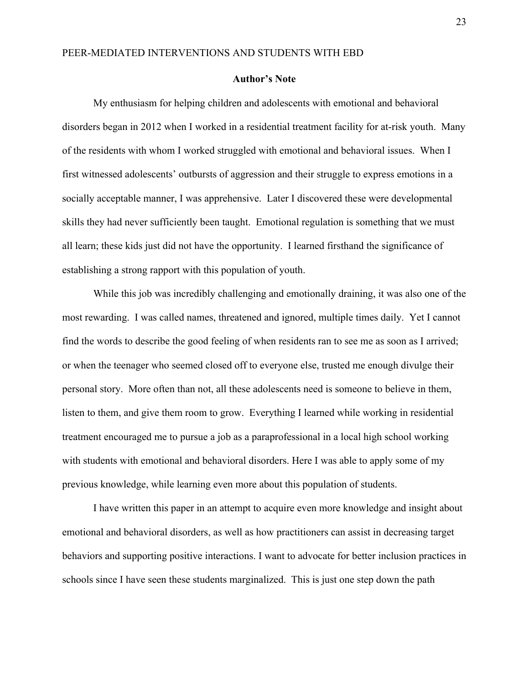#### **Author's Note**

My enthusiasm for helping children and adolescents with emotional and behavioral disorders began in 2012 when I worked in a residential treatment facility for at-risk youth. Many of the residents with whom I worked struggled with emotional and behavioral issues. When I first witnessed adolescents' outbursts of aggression and their struggle to express emotions in a socially acceptable manner, I was apprehensive. Later I discovered these were developmental skills they had never sufficiently been taught. Emotional regulation is something that we must all learn; these kids just did not have the opportunity. I learned firsthand the significance of establishing a strong rapport with this population of youth.

While this job was incredibly challenging and emotionally draining, it was also one of the most rewarding. I was called names, threatened and ignored, multiple times daily. Yet I cannot find the words to describe the good feeling of when residents ran to see me as soon as I arrived; or when the teenager who seemed closed off to everyone else, trusted me enough divulge their personal story. More often than not, all these adolescents need is someone to believe in them, listen to them, and give them room to grow. Everything I learned while working in residential treatment encouraged me to pursue a job as a paraprofessional in a local high school working with students with emotional and behavioral disorders. Here I was able to apply some of my previous knowledge, while learning even more about this population of students.

I have written this paper in an attempt to acquire even more knowledge and insight about emotional and behavioral disorders, as well as how practitioners can assist in decreasing target behaviors and supporting positive interactions. I want to advocate for better inclusion practices in schools since I have seen these students marginalized. This is just one step down the path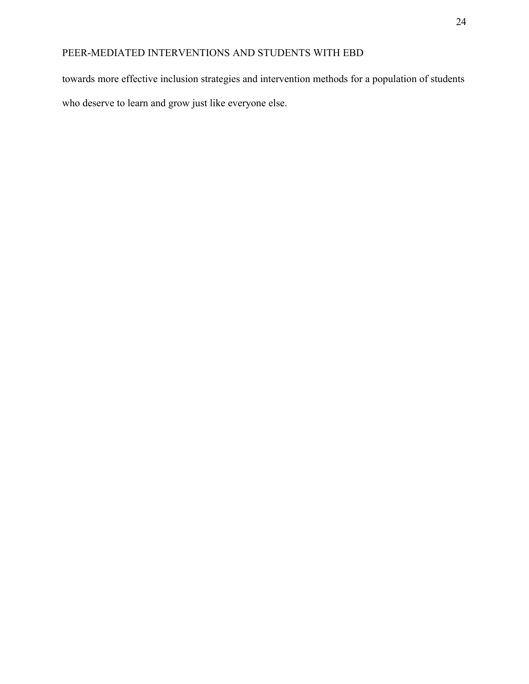towards more effective inclusion strategies and intervention methods for a population of students who deserve to learn and grow just like everyone else.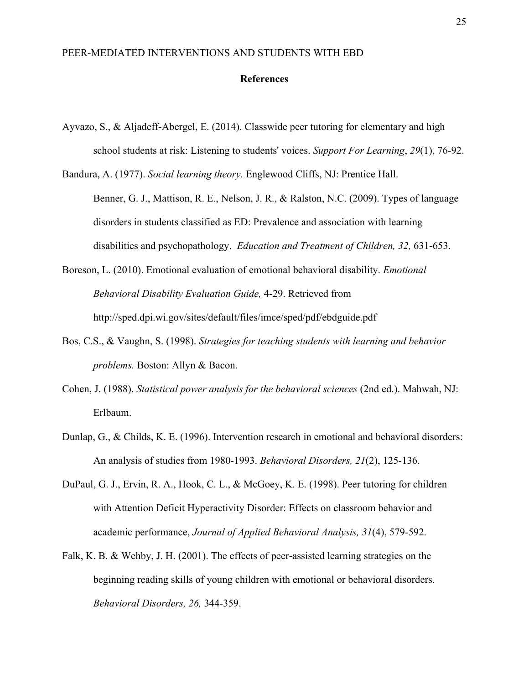#### **References**

- Ayvazo, S., & Aljadeff-Abergel, E. (2014). Classwide peer tutoring for elementary and high school students at risk: Listening to students' voices. *Support For Learning*, *29*(1), 76-92.
- Bandura, A. (1977). *Social learning theory.* Englewood Cliffs, NJ: Prentice Hall. Benner, G. J., Mattison, R. E., Nelson, J. R., & Ralston, N.C. (2009). Types of language disorders in students classified as ED: Prevalence and association with learning disabilities and psychopathology. *Education and Treatment of Children, 32,* 631-653.
- Boreson, L. (2010). Emotional evaluation of emotional behavioral disability. *Emotional Behavioral Disability Evaluation Guide,* 4-29. Retrieved from http://sped.dpi.wi.gov/sites/default/files/imce/sped/pdf/ebdguide.pdf
- Bos, C.S., & Vaughn, S. (1998). *Strategies for teaching students with learning and behavior problems.* Boston: Allyn & Bacon.
- Cohen, J. (1988). *Statistical power analysis for the behavioral sciences* (2nd ed.). Mahwah, NJ: Erlbaum.
- Dunlap, G., & Childs, K. E. (1996). Intervention research in emotional and behavioral disorders: An analysis of studies from 1980-1993. *Behavioral Disorders, 21*(2), 125-136.
- DuPaul, G. J., Ervin, R. A., Hook, C. L., & McGoey, K. E. (1998). Peer tutoring for children with Attention Deficit Hyperactivity Disorder: Effects on classroom behavior and academic performance, *Journal of Applied Behavioral Analysis, 31*(4), 579-592.
- Falk, K. B. & Wehby, J. H. (2001). The effects of peer-assisted learning strategies on the beginning reading skills of young children with emotional or behavioral disorders. *Behavioral Disorders, 26,* 344-359.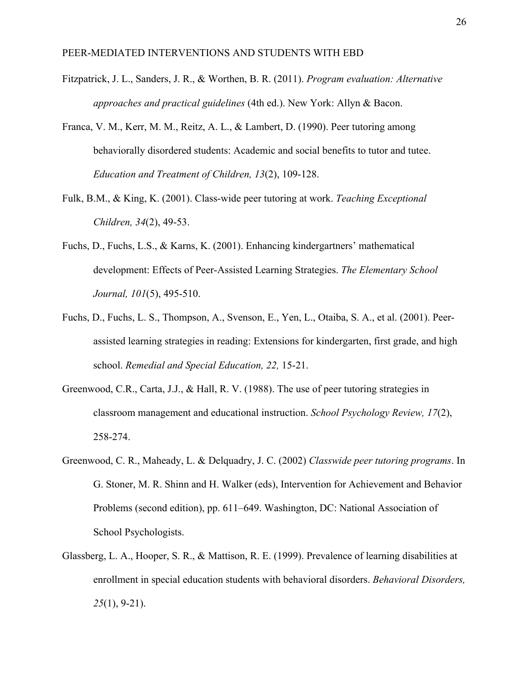- Fitzpatrick, J. L., Sanders, J. R., & Worthen, B. R. (2011). *Program evaluation: Alternative approaches and practical guidelines* (4th ed.). New York: Allyn & Bacon.
- Franca, V. M., Kerr, M. M., Reitz, A. L., & Lambert, D. (1990). Peer tutoring among behaviorally disordered students: Academic and social benefits to tutor and tutee. *Education and Treatment of Children, 13*(2), 109-128.
- Fulk, B.M., & King, K. (2001). Class-wide peer tutoring at work. *Teaching Exceptional Children, 34*(2), 49-53.
- Fuchs, D., Fuchs, L.S., & Karns, K. (2001). Enhancing kindergartners' mathematical development: Effects of Peer-Assisted Learning Strategies. *The Elementary School Journal, 101*(5), 495-510.
- Fuchs, D., Fuchs, L. S., Thompson, A., Svenson, E., Yen, L., Otaiba, S. A., et al. (2001). Peerassisted learning strategies in reading: Extensions for kindergarten, first grade, and high school. *Remedial and Special Education, 22,* 15-21.
- Greenwood, C.R., Carta, J.J., & Hall, R. V. (1988). The use of peer tutoring strategies in classroom management and educational instruction. *School Psychology Review, 17*(2), 258-274.
- Greenwood, C. R., Maheady, L. & Delquadry, J. C. (2002) *Classwide peer tutoring programs*. In G. Stoner, M. R. Shinn and H. Walker (eds), Intervention for Achievement and Behavior Problems (second edition), pp. 611–649. Washington, DC: National Association of School Psychologists.
- Glassberg, L. A., Hooper, S. R., & Mattison, R. E. (1999). Prevalence of learning disabilities at enrollment in special education students with behavioral disorders. *Behavioral Disorders, 25*(1), 9-21).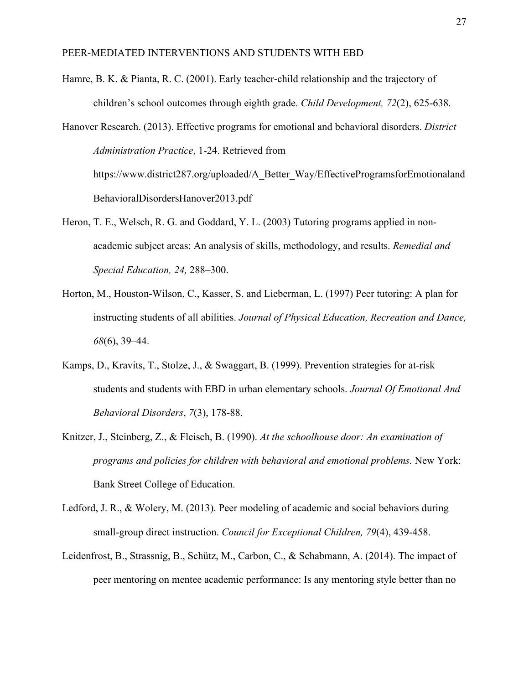Hamre, B. K. & Pianta, R. C. (2001). Early teacher-child relationship and the trajectory of children's school outcomes through eighth grade. *Child Development, 72*(2), 625-638.

Hanover Research. (2013). Effective programs for emotional and behavioral disorders. *District Administration Practice*, 1-24. Retrieved from https://www.district287.org/uploaded/A\_Better\_Way/EffectiveProgramsforEmotionaland BehavioralDisordersHanover2013.pdf

- Heron, T. E., Welsch, R. G. and Goddard, Y. L. (2003) Tutoring programs applied in nonacademic subject areas: An analysis of skills, methodology, and results. *Remedial and Special Education, 24,* 288–300.
- Horton, M., Houston-Wilson, C., Kasser, S. and Lieberman, L. (1997) Peer tutoring: A plan for instructing students of all abilities. *Journal of Physical Education, Recreation and Dance, 68*(6), 39–44.
- Kamps, D., Kravits, T., Stolze, J., & Swaggart, B. (1999). Prevention strategies for at-risk students and students with EBD in urban elementary schools. *Journal Of Emotional And Behavioral Disorders*, *7*(3), 178-88.
- Knitzer, J., Steinberg, Z., & Fleisch, B. (1990). *At the schoolhouse door: An examination of programs and policies for children with behavioral and emotional problems.* New York: Bank Street College of Education.
- Ledford, J. R., & Wolery, M. (2013). Peer modeling of academic and social behaviors during small-group direct instruction. *Council for Exceptional Children, 79*(4), 439-458.
- Leidenfrost, B., Strassnig, B., Schütz, M., Carbon, C., & Schabmann, A. (2014). The impact of peer mentoring on mentee academic performance: Is any mentoring style better than no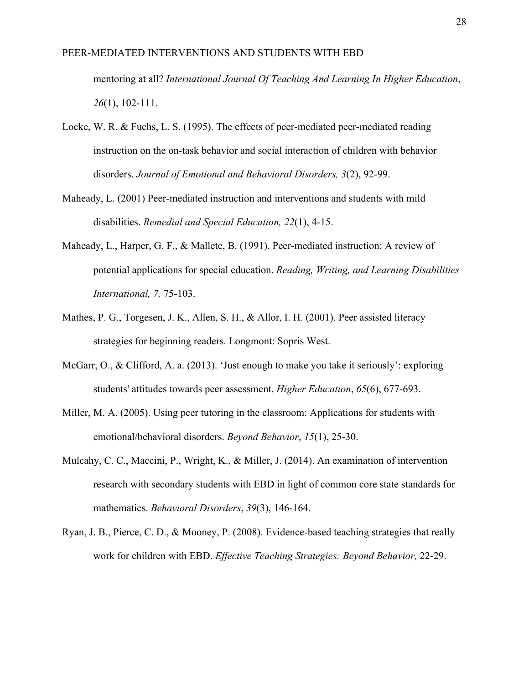mentoring at all? *International Journal Of Teaching And Learning In Higher Education*, *26*(1), 102-111.

- Locke, W. R. & Fuchs, L. S. (1995). The effects of peer-mediated peer-mediated reading instruction on the on-task behavior and social interaction of children with behavior disorders. *Journal of Emotional and Behavioral Disorders, 3*(2), 92-99.
- Maheady, L. (2001) Peer-mediated instruction and interventions and students with mild disabilities. *Remedial and Special Education, 22*(1), 4-15.
- Maheady, L., Harper, G. F., & Mallete, B. (1991). Peer-mediated instruction: A review of potential applications for special education. *Reading, Writing, and Learning Disabilities International, 7,* 75-103.
- Mathes, P. G., Torgesen, J. K., Allen, S. H., & Allor, I. H. (2001). Peer assisted literacy strategies for beginning readers. Longmont: Sopris West.
- McGarr, O., & Clifford, A. a. (2013). 'Just enough to make you take it seriously': exploring students' attitudes towards peer assessment. *Higher Education*, *65*(6), 677-693.
- Miller, M. A. (2005). Using peer tutoring in the classroom: Applications for students with emotional/behavioral disorders. *Beyond Behavior*, *15*(1), 25-30.
- Mulcahy, C. C., Maccini, P., Wright, K., & Miller, J. (2014). An examination of intervention research with secondary students with EBD in light of common core state standards for mathematics. *Behavioral Disorders*, *39*(3), 146-164.
- Ryan, J. B., Pierce, C. D., & Mooney, P. (2008). Evidence-based teaching strategies that really work for children with EBD. *Effective Teaching Strategies: Beyond Behavior,* 22-29.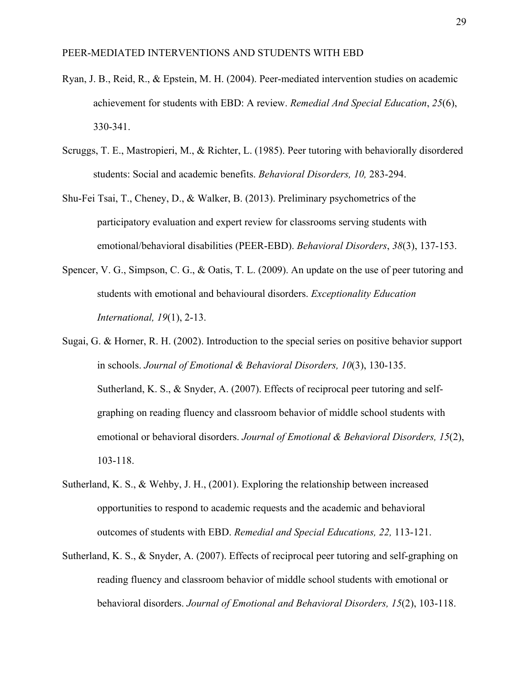- Ryan, J. B., Reid, R., & Epstein, M. H. (2004). Peer-mediated intervention studies on academic achievement for students with EBD: A review. *Remedial And Special Education*, *25*(6), 330-341.
- Scruggs, T. E., Mastropieri, M., & Richter, L. (1985). Peer tutoring with behaviorally disordered students: Social and academic benefits. *Behavioral Disorders, 10,* 283-294.
- Shu-Fei Tsai, T., Cheney, D., & Walker, B. (2013). Preliminary psychometrics of the participatory evaluation and expert review for classrooms serving students with emotional/behavioral disabilities (PEER-EBD). *Behavioral Disorders*, *38*(3), 137-153.
- Spencer, V. G., Simpson, C. G., & Oatis, T. L. (2009). An update on the use of peer tutoring and students with emotional and behavioural disorders. *Exceptionality Education International, 19*(1), 2-13.
- Sugai, G. & Horner, R. H. (2002). Introduction to the special series on positive behavior support in schools. *Journal of Emotional & Behavioral Disorders, 10*(3), 130-135. Sutherland, K. S., & Snyder, A. (2007). Effects of reciprocal peer tutoring and selfgraphing on reading fluency and classroom behavior of middle school students with emotional or behavioral disorders. *Journal of Emotional & Behavioral Disorders, 15*(2), 103-118.
- Sutherland, K. S., & Wehby, J. H., (2001). Exploring the relationship between increased opportunities to respond to academic requests and the academic and behavioral outcomes of students with EBD. *Remedial and Special Educations, 22,* 113-121.
- Sutherland, K. S., & Snyder, A. (2007). Effects of reciprocal peer tutoring and self-graphing on reading fluency and classroom behavior of middle school students with emotional or behavioral disorders. *Journal of Emotional and Behavioral Disorders, 15*(2), 103-118.